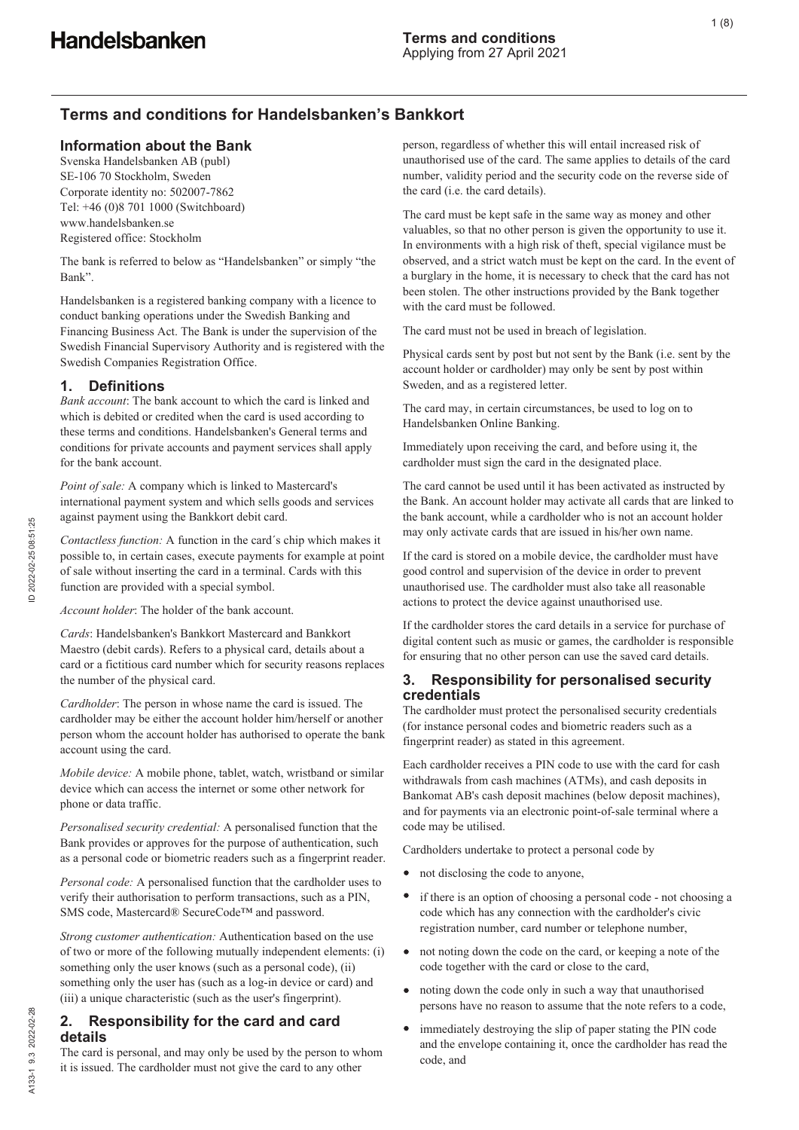# **Terms and conditions for Handelsbanken's Bankkort**

## **Information about the Bank**

Svenska Handelsbanken AB (publ) SE-106 70 Stockholm, Sweden Corporate identity no: 502007-7862 Tel: +46 (0)8 701 1000 (Switchboard) www.handelsbanken.se Registered office: Stockholm

The bank is referred to below as "Handelsbanken" or simply "the Bank".

Handelsbanken is a registered banking company with a licence to conduct banking operations under the Swedish Banking and Financing Business Act. The Bank is under the supervision of the Swedish Financial Supervisory Authority and is registered with the Swedish Companies Registration Office.

## **1. Definitions**

*Bank account*: The bank account to which the card is linked and which is debited or credited when the card is used according to these terms and conditions. Handelsbanken's General terms and conditions for private accounts and payment services shall apply for the bank account.

*Point of sale:* A company which is linked to Mastercard's international payment system and which sells goods and services against payment using the Bankkort debit card.

*Contactless function:* A function in the card´s chip which makes it possible to, in certain cases, execute payments for example at point of sale without inserting the card in a terminal. Cards with this function are provided with a special symbol.

*Account holder*: The holder of the bank account.

*Cards*: Handelsbanken's Bankkort Mastercard and Bankkort Maestro (debit cards). Refers to a physical card, details about a card or a fictitious card number which for security reasons replaces the number of the physical card.

*Cardholder*: The person in whose name the card is issued. The cardholder may be either the account holder him/herself or another person whom the account holder has authorised to operate the bank account using the card.

*Mobile device:* A mobile phone, tablet, watch, wristband or similar device which can access the internet or some other network for phone or data traffic.

*Personalised security credential:* A personalised function that the Bank provides or approves for the purpose of authentication, such as a personal code or biometric readers such as a fingerprint reader.

*Personal code:* A personalised function that the cardholder uses to verify their authorisation to perform transactions, such as a PIN, SMS code, Mastercard® SecureCode™ and password.

*Strong customer authentication:* Authentication based on the use of two or more of the following mutually independent elements: (i) something only the user knows (such as a personal code), (ii) something only the user has (such as a log-in device or card) and (iii) a unique characteristic (such as the user's fingerprint).

# **2. Responsibility for the card and card details**

The card is personal, and may only be used by the person to whom it is issued. The cardholder must not give the card to any other

person, regardless of whether this will entail increased risk of unauthorised use of the card. The same applies to details of the card number, validity period and the security code on the reverse side of the card (i.e. the card details).

The card must be kept safe in the same way as money and other valuables, so that no other person is given the opportunity to use it. In environments with a high risk of theft, special vigilance must be observed, and a strict watch must be kept on the card. In the event of a burglary in the home, it is necessary to check that the card has not been stolen. The other instructions provided by the Bank together with the card must be followed.

The card must not be used in breach of legislation.

Physical cards sent by post but not sent by the Bank (i.e. sent by the account holder or cardholder) may only be sent by post within Sweden, and as a registered letter.

The card may, in certain circumstances, be used to log on to Handelsbanken Online Banking.

Immediately upon receiving the card, and before using it, the cardholder must sign the card in the designated place.

The card cannot be used until it has been activated as instructed by the Bank. An account holder may activate all cards that are linked to the bank account, while a cardholder who is not an account holder may only activate cards that are issued in his/her own name.

If the card is stored on a mobile device, the cardholder must have good control and supervision of the device in order to prevent unauthorised use. The cardholder must also take all reasonable actions to protect the device against unauthorised use.

If the cardholder stores the card details in a service for purchase of digital content such as music or games, the cardholder is responsible for ensuring that no other person can use the saved card details.

## **3. Responsibility for personalised security credentials**

The cardholder must protect the personalised security credentials (for instance personal codes and biometric readers such as a fingerprint reader) as stated in this agreement.

Each cardholder receives a PIN code to use with the card for cash withdrawals from cash machines (ATMs), and cash deposits in Bankomat AB's cash deposit machines (below deposit machines), and for payments via an electronic point-of-sale terminal where a code may be utilised.

Cardholders undertake to protect a personal code by

- not disclosing the code to anyone,
- $\bullet$ if there is an option of choosing a personal code - not choosing a code which has any connection with the cardholder's civic registration number, card number or telephone number,
- not noting down the code on the card, or keeping a note of the code together with the card or close to the card,
- noting down the code only in such a way that unauthorised persons have no reason to assume that the note refers to a code,
- immediately destroying the slip of paper stating the PIN code and the envelope containing it, once the cardholder has read the code, and

A133-1 9.3 2022-02-28

A133-1 9.3 2022-02-28

ID 2022-02-25 08:51:25

D 2022-02-25 08:51:25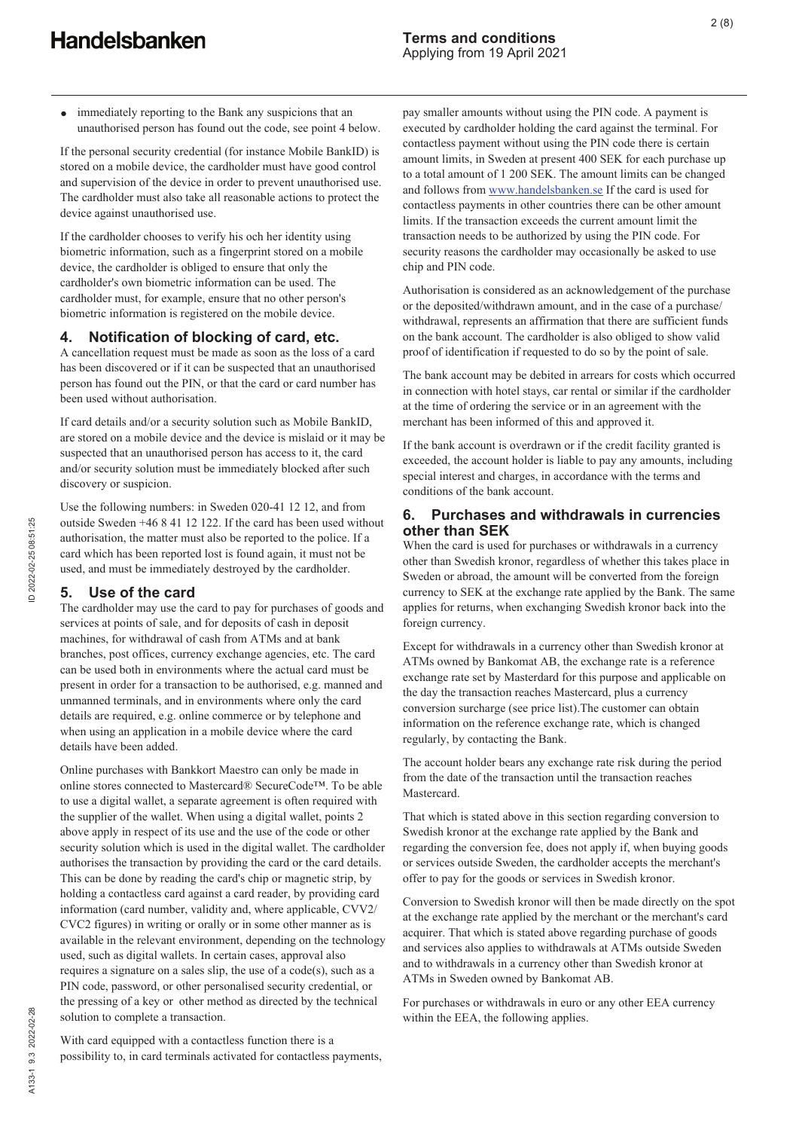immediately reporting to the Bank any suspicions that an  $\bullet$ unauthorised person has found out the code, see point 4 below.

If the personal security credential (for instance Mobile BankID) is stored on a mobile device, the cardholder must have good control and supervision of the device in order to prevent unauthorised use. The cardholder must also take all reasonable actions to protect the device against unauthorised use.

If the cardholder chooses to verify his och her identity using biometric information, such as a fingerprint stored on a mobile device, the cardholder is obliged to ensure that only the cardholder's own biometric information can be used. The cardholder must, for example, ensure that no other person's biometric information is registered on the mobile device.

## **4. Notification of blocking of card, etc.**

A cancellation request must be made as soon as the loss of a card has been discovered or if it can be suspected that an unauthorised person has found out the PIN, or that the card or card number has been used without authorisation.

If card details and/or a security solution such as Mobile BankID, are stored on a mobile device and the device is mislaid or it may be suspected that an unauthorised person has access to it, the card and/or security solution must be immediately blocked after such discovery or suspicion.

Use the following numbers: in Sweden 020-41 12 12, and from outside Sweden +46 8 41 12 122. If the card has been used without authorisation, the matter must also be reported to the police. If a card which has been reported lost is found again, it must not be used, and must be immediately destroyed by the cardholder.

## **5. Use of the card**

The cardholder may use the card to pay for purchases of goods and services at points of sale, and for deposits of cash in deposit machines, for withdrawal of cash from ATMs and at bank branches, post offices, currency exchange agencies, etc. The card can be used both in environments where the actual card must be present in order for a transaction to be authorised, e.g. manned and unmanned terminals, and in environments where only the card details are required, e.g. online commerce or by telephone and when using an application in a mobile device where the card details have been added.

Online purchases with Bankkort Maestro can only be made in online stores connected to Mastercard® SecureCode™. To be able to use a digital wallet, a separate agreement is often required with the supplier of the wallet. When using a digital wallet, points 2 above apply in respect of its use and the use of the code or other security solution which is used in the digital wallet. The cardholder authorises the transaction by providing the card or the card details. This can be done by reading the card's chip or magnetic strip, by holding a contactless card against a card reader, by providing card information (card number, validity and, where applicable, CVV2/ CVC2 figures) in writing or orally or in some other manner as is available in the relevant environment, depending on the technology used, such as digital wallets. In certain cases, approval also requires a signature on a sales slip, the use of a code(s), such as a PIN code, password, or other personalised security credential, or the pressing of a key or other method as directed by the technical solution to complete a transaction.

With card equipped with a contactless function there is a possibility to, in card terminals activated for contactless payments, pay smaller amounts without using the PIN code. A payment is executed by cardholder holding the card against the terminal. For contactless payment without using the PIN code there is certain amount limits, in Sweden at present 400 SEK for each purchase up to a total amount of 1 200 SEK. The amount limits can be changed and follows from www.handelsbanken.se If the card is used for contactless payments in other countries there can be other amount limits. If the transaction exceeds the current amount limit the transaction needs to be authorized by using the PIN code. For security reasons the cardholder may occasionally be asked to use chip and PIN code.

Authorisation is considered as an acknowledgement of the purchase or the deposited/withdrawn amount, and in the case of a purchase/ withdrawal, represents an affirmation that there are sufficient funds on the bank account. The cardholder is also obliged to show valid proof of identification if requested to do so by the point of sale.

The bank account may be debited in arrears for costs which occurred in connection with hotel stays, car rental or similar if the cardholder at the time of ordering the service or in an agreement with the merchant has been informed of this and approved it.

If the bank account is overdrawn or if the credit facility granted is exceeded, the account holder is liable to pay any amounts, including special interest and charges, in accordance with the terms and conditions of the bank account.

## **6. Purchases and withdrawals in currencies other than SEK**

When the card is used for purchases or withdrawals in a currency other than Swedish kronor, regardless of whether this takes place in Sweden or abroad, the amount will be converted from the foreign currency to SEK at the exchange rate applied by the Bank. The same applies for returns, when exchanging Swedish kronor back into the foreign currency.

Except for withdrawals in a currency other than Swedish kronor at ATMs owned by Bankomat AB, the exchange rate is a reference exchange rate set by Masterdard for this purpose and applicable on the day the transaction reaches Mastercard, plus a currency conversion surcharge (see price list).The customer can obtain information on the reference exchange rate, which is changed regularly, by contacting the Bank.

The account holder bears any exchange rate risk during the period from the date of the transaction until the transaction reaches Mastercard.

That which is stated above in this section regarding conversion to Swedish kronor at the exchange rate applied by the Bank and regarding the conversion fee, does not apply if, when buying goods or services outside Sweden, the cardholder accepts the merchant's offer to pay for the goods or services in Swedish kronor.

Conversion to Swedish kronor will then be made directly on the spot at the exchange rate applied by the merchant or the merchant's card acquirer. That which is stated above regarding purchase of goods and services also applies to withdrawals at ATMs outside Sweden and to withdrawals in a currency other than Swedish kronor at ATMs in Sweden owned by Bankomat AB.

For purchases or withdrawals in euro or any other EEA currency within the EEA, the following applies.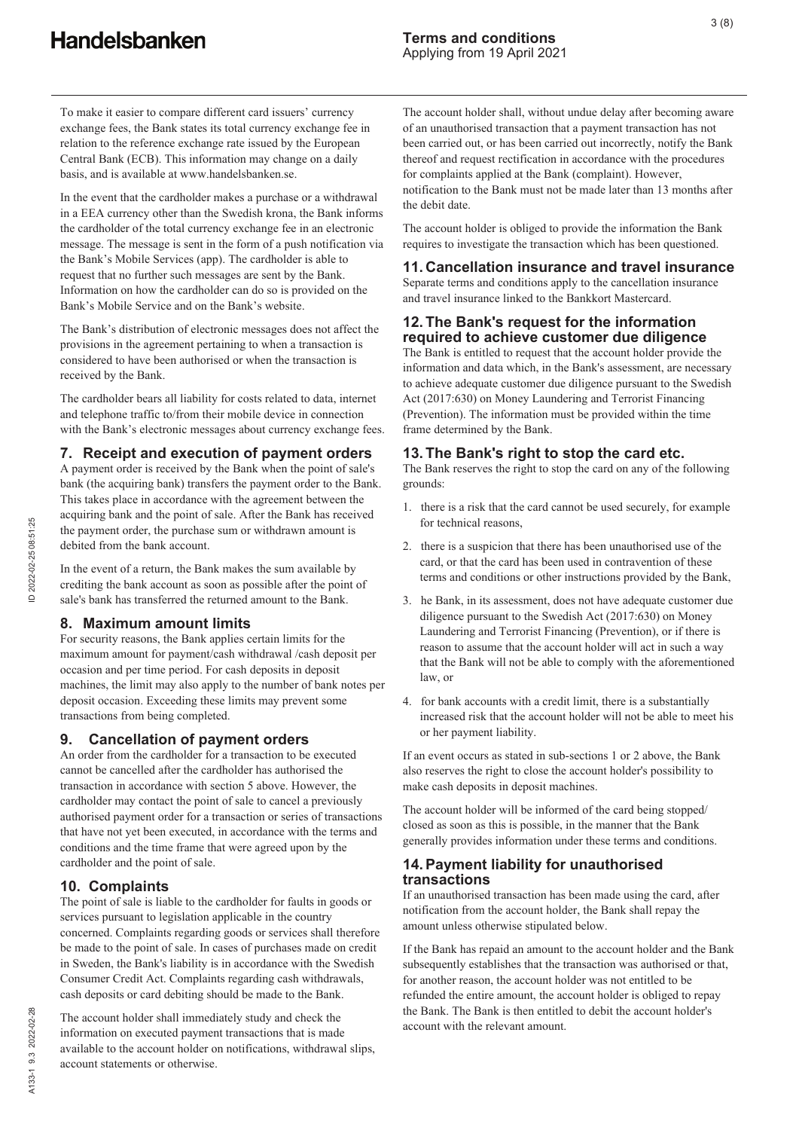To make it easier to compare different card issuers' currency exchange fees, the Bank states its total currency exchange fee in relation to the reference exchange rate issued by the European Central Bank (ECB). This information may change on a daily basis, and is available at www.handelsbanken.se.

In the event that the cardholder makes a purchase or a withdrawal in a EEA currency other than the Swedish krona, the Bank informs the cardholder of the total currency exchange fee in an electronic message. The message is sent in the form of a push notification via the Bank's Mobile Services (app). The cardholder is able to request that no further such messages are sent by the Bank. Information on how the cardholder can do so is provided on the Bank's Mobile Service and on the Bank's website.

The Bank's distribution of electronic messages does not affect the provisions in the agreement pertaining to when a transaction is considered to have been authorised or when the transaction is received by the Bank.

The cardholder bears all liability for costs related to data, internet and telephone traffic to/from their mobile device in connection with the Bank's electronic messages about currency exchange fees.

## **7. Receipt and execution of payment orders**

A payment order is received by the Bank when the point of sale's bank (the acquiring bank) transfers the payment order to the Bank. This takes place in accordance with the agreement between the acquiring bank and the point of sale. After the Bank has received the payment order, the purchase sum or withdrawn amount is debited from the bank account.

In the event of a return, the Bank makes the sum available by crediting the bank account as soon as possible after the point of sale's bank has transferred the returned amount to the Bank.

## **8. Maximum amount limits**

For security reasons, the Bank applies certain limits for the maximum amount for payment/cash withdrawal /cash deposit per occasion and per time period. For cash deposits in deposit machines, the limit may also apply to the number of bank notes per deposit occasion. Exceeding these limits may prevent some transactions from being completed.

## **9. Cancellation of payment orders**

An order from the cardholder for a transaction to be executed cannot be cancelled after the cardholder has authorised the transaction in accordance with section 5 above. However, the cardholder may contact the point of sale to cancel a previously authorised payment order for a transaction or series of transactions that have not yet been executed, in accordance with the terms and conditions and the time frame that were agreed upon by the cardholder and the point of sale.

# **10. Complaints**

The point of sale is liable to the cardholder for faults in goods or services pursuant to legislation applicable in the country concerned. Complaints regarding goods or services shall therefore be made to the point of sale. In cases of purchases made on credit in Sweden, the Bank's liability is in accordance with the Swedish Consumer Credit Act. Complaints regarding cash withdrawals, cash deposits or card debiting should be made to the Bank.

The account holder shall immediately study and check the information on executed payment transactions that is made available to the account holder on notifications, withdrawal slips, account statements or otherwise.

The account holder shall, without undue delay after becoming aware of an unauthorised transaction that a payment transaction has not been carried out, or has been carried out incorrectly, notify the Bank thereof and request rectification in accordance with the procedures for complaints applied at the Bank (complaint). However, notification to the Bank must not be made later than 13 months after the debit date.

The account holder is obliged to provide the information the Bank requires to investigate the transaction which has been questioned.

# **11. Cancellation insurance and travel insurance**

Separate terms and conditions apply to the cancellation insurance and travel insurance linked to the Bankkort Mastercard.

### **12. The Bank's request for the information required to achieve customer due diligence**

The Bank is entitled to request that the account holder provide the information and data which, in the Bank's assessment, are necessary to achieve adequate customer due diligence pursuant to the Swedish Act (2017:630) on Money Laundering and Terrorist Financing (Prevention). The information must be provided within the time frame determined by the Bank.

## **13. The Bank's right to stop the card etc.**

The Bank reserves the right to stop the card on any of the following grounds:

- 1. there is a risk that the card cannot be used securely, for example for technical reasons,
- 2. there is a suspicion that there has been unauthorised use of the card, or that the card has been used in contravention of these terms and conditions or other instructions provided by the Bank,
- 3. he Bank, in its assessment, does not have adequate customer due diligence pursuant to the Swedish Act (2017:630) on Money Laundering and Terrorist Financing (Prevention), or if there is reason to assume that the account holder will act in such a way that the Bank will not be able to comply with the aforementioned law, or
- 4. for bank accounts with a credit limit, there is a substantially increased risk that the account holder will not be able to meet his or her payment liability.

If an event occurs as stated in sub-sections 1 or 2 above, the Bank also reserves the right to close the account holder's possibility to make cash deposits in deposit machines.

The account holder will be informed of the card being stopped/ closed as soon as this is possible, in the manner that the Bank generally provides information under these terms and conditions.

## **14. Payment liability for unauthorised transactions**

If an unauthorised transaction has been made using the card, after notification from the account holder, the Bank shall repay the amount unless otherwise stipulated below.

If the Bank has repaid an amount to the account holder and the Bank subsequently establishes that the transaction was authorised or that, for another reason, the account holder was not entitled to be refunded the entire amount, the account holder is obliged to repay the Bank. The Bank is then entitled to debit the account holder's account with the relevant amount.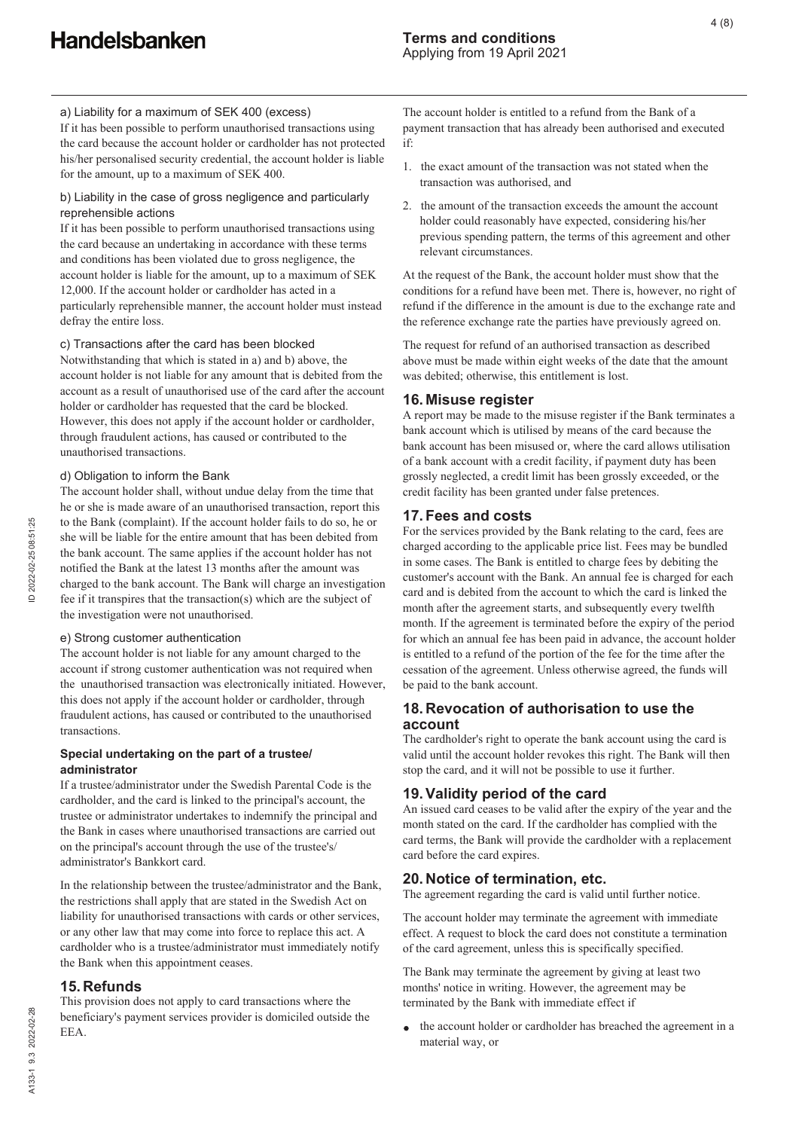If it has been possible to perform unauthorised transactions using the card because the account holder or cardholder has not protected his/her personalised security credential, the account holder is liable for the amount, up to a maximum of SEK 400.

### b) Liability in the case of gross negligence and particularly reprehensible actions

If it has been possible to perform unauthorised transactions using the card because an undertaking in accordance with these terms and conditions has been violated due to gross negligence, the account holder is liable for the amount, up to a maximum of SEK 12,000. If the account holder or cardholder has acted in a particularly reprehensible manner, the account holder must instead defray the entire loss.

### c) Transactions after the card has been blocked

Notwithstanding that which is stated in a) and b) above, the account holder is not liable for any amount that is debited from the account as a result of unauthorised use of the card after the account holder or cardholder has requested that the card be blocked. However, this does not apply if the account holder or cardholder, through fraudulent actions, has caused or contributed to the unauthorised transactions.

#### d) Obligation to inform the Bank

The account holder shall, without undue delay from the time that he or she is made aware of an unauthorised transaction, report this to the Bank (complaint). If the account holder fails to do so, he or she will be liable for the entire amount that has been debited from the bank account. The same applies if the account holder has not notified the Bank at the latest 13 months after the amount was charged to the bank account. The Bank will charge an investigation fee if it transpires that the transaction(s) which are the subject of the investigation were not unauthorised.

#### e) Strong customer authentication

The account holder is not liable for any amount charged to the account if strong customer authentication was not required when the unauthorised transaction was electronically initiated. However, this does not apply if the account holder or cardholder, through fraudulent actions, has caused or contributed to the unauthorised transactions.

### **Special undertaking on the part of a trustee/ administrator**

If a trustee/administrator under the Swedish Parental Code is the cardholder, and the card is linked to the principal's account, the trustee or administrator undertakes to indemnify the principal and the Bank in cases where unauthorised transactions are carried out on the principal's account through the use of the trustee's/ administrator's Bankkort card.

In the relationship between the trustee/administrator and the Bank, the restrictions shall apply that are stated in the Swedish Act on liability for unauthorised transactions with cards or other services, or any other law that may come into force to replace this act. A cardholder who is a trustee/administrator must immediately notify the Bank when this appointment ceases.

### **15. Refunds**

This provision does not apply to card transactions where the beneficiary's payment services provider is domiciled outside the EEA.

The account holder is entitled to a refund from the Bank of a payment transaction that has already been authorised and executed if:

- 1. the exact amount of the transaction was not stated when the transaction was authorised, and
- 2. the amount of the transaction exceeds the amount the account holder could reasonably have expected, considering his/her previous spending pattern, the terms of this agreement and other relevant circumstances.

At the request of the Bank, the account holder must show that the conditions for a refund have been met. There is, however, no right of refund if the difference in the amount is due to the exchange rate and the reference exchange rate the parties have previously agreed on.

The request for refund of an authorised transaction as described above must be made within eight weeks of the date that the amount was debited; otherwise, this entitlement is lost.

### **16. Misuse register**

A report may be made to the misuse register if the Bank terminates a bank account which is utilised by means of the card because the bank account has been misused or, where the card allows utilisation of a bank account with a credit facility, if payment duty has been grossly neglected, a credit limit has been grossly exceeded, or the credit facility has been granted under false pretences.

### **17. Fees and costs**

For the services provided by the Bank relating to the card, fees are charged according to the applicable price list. Fees may be bundled in some cases. The Bank is entitled to charge fees by debiting the customer's account with the Bank. An annual fee is charged for each card and is debited from the account to which the card is linked the month after the agreement starts, and subsequently every twelfth month. If the agreement is terminated before the expiry of the period for which an annual fee has been paid in advance, the account holder is entitled to a refund of the portion of the fee for the time after the cessation of the agreement. Unless otherwise agreed, the funds will be paid to the bank account.

## **18. Revocation of authorisation to use the account**

The cardholder's right to operate the bank account using the card is valid until the account holder revokes this right. The Bank will then stop the card, and it will not be possible to use it further.

# **19. Validity period of the card**

An issued card ceases to be valid after the expiry of the year and the month stated on the card. If the cardholder has complied with the card terms, the Bank will provide the cardholder with a replacement card before the card expires.

# **20. Notice of termination, etc.**

The agreement regarding the card is valid until further notice.

The account holder may terminate the agreement with immediate effect. A request to block the card does not constitute a termination of the card agreement, unless this is specifically specified.

The Bank may terminate the agreement by giving at least two months' notice in writing. However, the agreement may be terminated by the Bank with immediate effect if

the account holder or cardholder has breached the agreement in a material way, or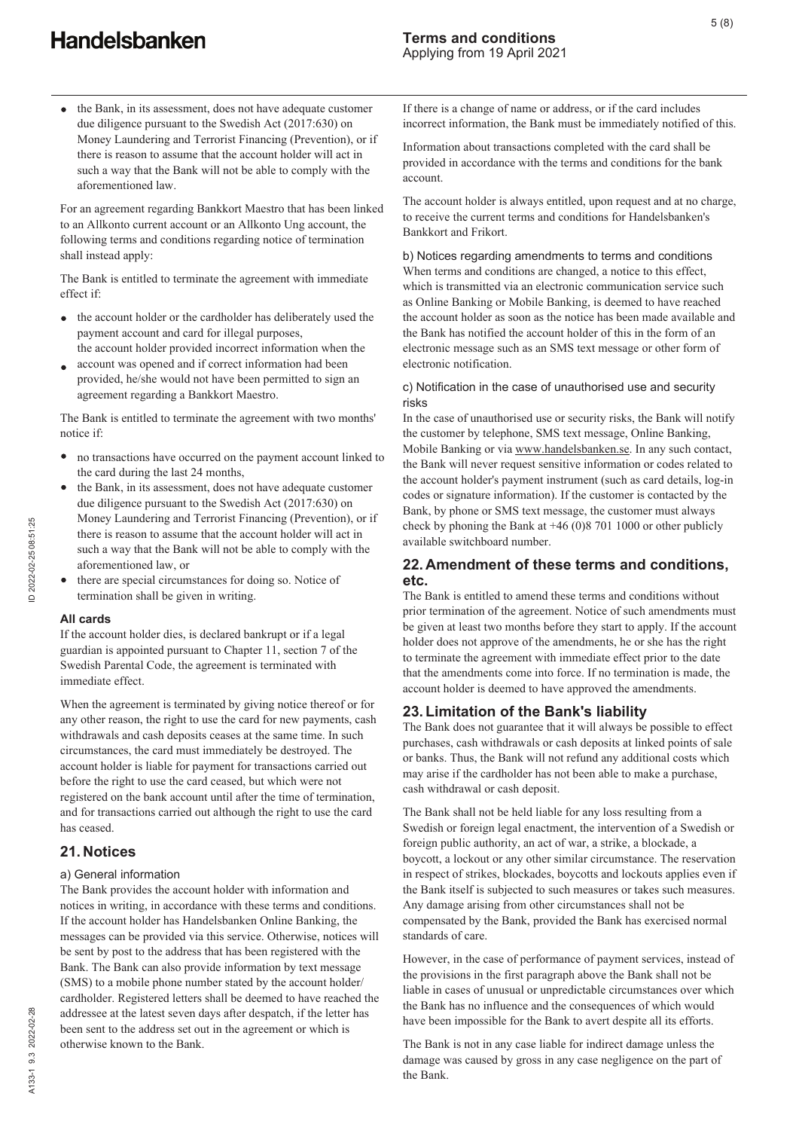the Bank, in its assessment, does not have adequate customer due diligence pursuant to the Swedish Act (2017:630) on Money Laundering and Terrorist Financing (Prevention), or if there is reason to assume that the account holder will act in such a way that the Bank will not be able to comply with the aforementioned law.

For an agreement regarding Bankkort Maestro that has been linked to an Allkonto current account or an Allkonto Ung account, the following terms and conditions regarding notice of termination shall instead apply:

The Bank is entitled to terminate the agreement with immediate effect if:

- the account holder or the cardholder has deliberately used the  $\bullet$ payment account and card for illegal purposes, the account holder provided incorrect information when the
- account was opened and if correct information had been provided, he/she would not have been permitted to sign an agreement regarding a Bankkort Maestro.

The Bank is entitled to terminate the agreement with two months' notice if:

- no transactions have occurred on the payment account linked to the card during the last 24 months,
- the Bank, in its assessment, does not have adequate customer  $\bullet$ due diligence pursuant to the Swedish Act (2017:630) on Money Laundering and Terrorist Financing (Prevention), or if there is reason to assume that the account holder will act in such a way that the Bank will not be able to comply with the aforementioned law, or
- there are special circumstances for doing so. Notice of termination shall be given in writing.

#### **All cards**

If the account holder dies, is declared bankrupt or if a legal guardian is appointed pursuant to Chapter 11, section 7 of the Swedish Parental Code, the agreement is terminated with immediate effect.

When the agreement is terminated by giving notice thereof or for any other reason, the right to use the card for new payments, cash withdrawals and cash deposits ceases at the same time. In such circumstances, the card must immediately be destroyed. The account holder is liable for payment for transactions carried out before the right to use the card ceased, but which were not registered on the bank account until after the time of termination, and for transactions carried out although the right to use the card has ceased.

## **21. Notices**

#### a) General information

The Bank provides the account holder with information and notices in writing, in accordance with these terms and conditions. If the account holder has Handelsbanken Online Banking, the messages can be provided via this service. Otherwise, notices will be sent by post to the address that has been registered with the Bank. The Bank can also provide information by text message (SMS) to a mobile phone number stated by the account holder/ cardholder. Registered letters shall be deemed to have reached the addressee at the latest seven days after despatch, if the letter has been sent to the address set out in the agreement or which is otherwise known to the Bank.

5 (8)

If there is a change of name or address, or if the card includes incorrect information, the Bank must be immediately notified of this.

Information about transactions completed with the card shall be provided in accordance with the terms and conditions for the bank account.

The account holder is always entitled, upon request and at no charge, to receive the current terms and conditions for Handelsbanken's Bankkort and Frikort.

b) Notices regarding amendments to terms and conditions When terms and conditions are changed, a notice to this effect, which is transmitted via an electronic communication service such as Online Banking or Mobile Banking, is deemed to have reached the account holder as soon as the notice has been made available and the Bank has notified the account holder of this in the form of an electronic message such as an SMS text message or other form of electronic notification.

#### c) Notification in the case of unauthorised use and security risks

In the case of unauthorised use or security risks, the Bank will notify the customer by telephone, SMS text message, Online Banking, Mobile Banking or via www.handelsbanken.se. In any such contact, the Bank will never request sensitive information or codes related to the account holder's payment instrument (such as card details, log-in codes or signature information). If the customer is contacted by the Bank, by phone or SMS text message, the customer must always check by phoning the Bank at +46 (0)8 701 1000 or other publicly available switchboard number.

### **22. Amendment of these terms and conditions, etc.**

The Bank is entitled to amend these terms and conditions without prior termination of the agreement. Notice of such amendments must be given at least two months before they start to apply. If the account holder does not approve of the amendments, he or she has the right to terminate the agreement with immediate effect prior to the date that the amendments come into force. If no termination is made, the account holder is deemed to have approved the amendments.

## **23. Limitation of the Bank's liability**

The Bank does not guarantee that it will always be possible to effect purchases, cash withdrawals or cash deposits at linked points of sale or banks. Thus, the Bank will not refund any additional costs which may arise if the cardholder has not been able to make a purchase, cash withdrawal or cash deposit.

The Bank shall not be held liable for any loss resulting from a Swedish or foreign legal enactment, the intervention of a Swedish or foreign public authority, an act of war, a strike, a blockade, a boycott, a lockout or any other similar circumstance. The reservation in respect of strikes, blockades, boycotts and lockouts applies even if the Bank itself is subjected to such measures or takes such measures. Any damage arising from other circumstances shall not be compensated by the Bank, provided the Bank has exercised normal standards of care.

However, in the case of performance of payment services, instead of the provisions in the first paragraph above the Bank shall not be liable in cases of unusual or unpredictable circumstances over which the Bank has no influence and the consequences of which would have been impossible for the Bank to avert despite all its efforts.

The Bank is not in any case liable for indirect damage unless the damage was caused by gross in any case negligence on the part of the Bank.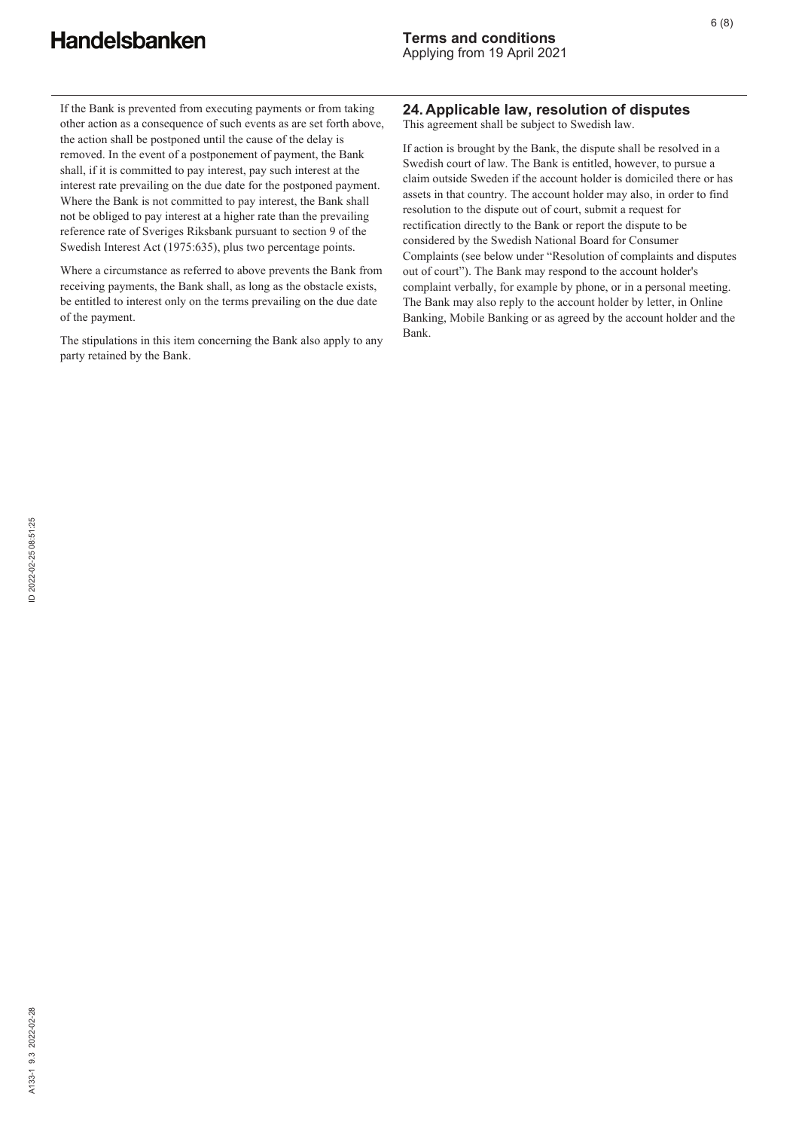If the Bank is prevented from executing payments or from taking other action as a consequence of such events as are set forth above, the action shall be postponed until the cause of the delay is removed. In the event of a postponement of payment, the Bank shall, if it is committed to pay interest, pay such interest at the interest rate prevailing on the due date for the postponed payment. Where the Bank is not committed to pay interest, the Bank shall not be obliged to pay interest at a higher rate than the prevailing reference rate of Sveriges Riksbank pursuant to section 9 of the Swedish Interest Act (1975:635), plus two percentage points.

Where a circumstance as referred to above prevents the Bank from receiving payments, the Bank shall, as long as the obstacle exists, be entitled to interest only on the terms prevailing on the due date of the payment.

The stipulations in this item concerning the Bank also apply to any party retained by the Bank.

# **24. Applicable law, resolution of disputes**

This agreement shall be subject to Swedish law.

If action is brought by the Bank, the dispute shall be resolved in a Swedish court of law. The Bank is entitled, however, to pursue a claim outside Sweden if the account holder is domiciled there or has assets in that country. The account holder may also, in order to find resolution to the dispute out of court, submit a request for rectification directly to the Bank or report the dispute to be considered by the Swedish National Board for Consumer Complaints (see below under "Resolution of complaints and disputes out of court"). The Bank may respond to the account holder's complaint verbally, for example by phone, or in a personal meeting. The Bank may also reply to the account holder by letter, in Online Banking, Mobile Banking or as agreed by the account holder and the Bank.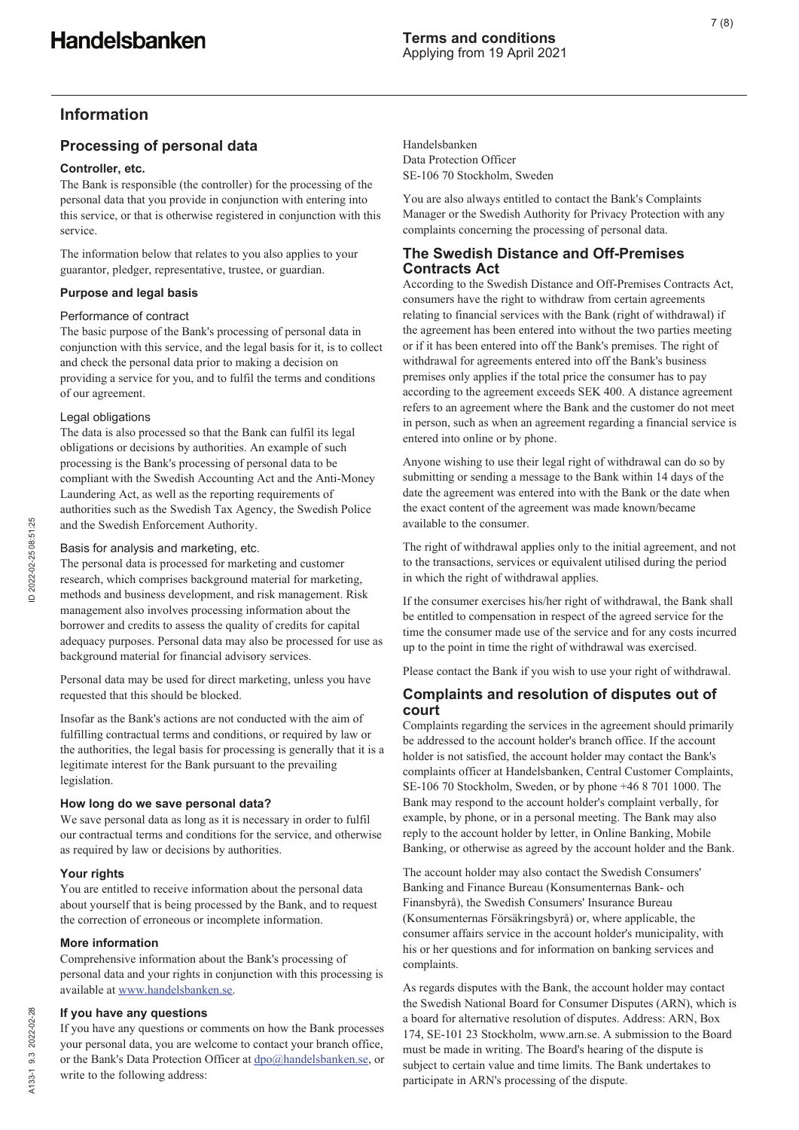# **Information**

# **Processing of personal data**

### **Controller, etc.**

The Bank is responsible (the controller) for the processing of the personal data that you provide in conjunction with entering into this service, or that is otherwise registered in conjunction with this service.

The information below that relates to you also applies to your guarantor, pledger, representative, trustee, or guardian.

## **Purpose and legal basis**

### Performance of contract

The basic purpose of the Bank's processing of personal data in conjunction with this service, and the legal basis for it, is to collect and check the personal data prior to making a decision on providing a service for you, and to fulfil the terms and conditions of our agreement.

### Legal obligations

The data is also processed so that the Bank can fulfil its legal obligations or decisions by authorities. An example of such processing is the Bank's processing of personal data to be compliant with the Swedish Accounting Act and the Anti-Money Laundering Act, as well as the reporting requirements of authorities such as the Swedish Tax Agency, the Swedish Police and the Swedish Enforcement Authority.

### Basis for analysis and marketing, etc.

The personal data is processed for marketing and customer research, which comprises background material for marketing, methods and business development, and risk management. Risk management also involves processing information about the borrower and credits to assess the quality of credits for capital adequacy purposes. Personal data may also be processed for use as background material for financial advisory services.

Personal data may be used for direct marketing, unless you have requested that this should be blocked.

Insofar as the Bank's actions are not conducted with the aim of fulfilling contractual terms and conditions, or required by law or the authorities, the legal basis for processing is generally that it is a legitimate interest for the Bank pursuant to the prevailing legislation.

### **How long do we save personal data?**

We save personal data as long as it is necessary in order to fulfil our contractual terms and conditions for the service, and otherwise as required by law or decisions by authorities.

### **Your rights**

You are entitled to receive information about the personal data about yourself that is being processed by the Bank, and to request the correction of erroneous or incomplete information.

### **More information**

Comprehensive information about the Bank's processing of personal data and your rights in conjunction with this processing is available at www.handelsbanken.se.

#### **If you have any questions**

If you have any questions or comments on how the Bank processes your personal data, you are welcome to contact your branch office, or the Bank's Data Protection Officer at dpo@handelsbanken.se, or write to the following address:

Handelsbanken Data Protection Officer SE-106 70 Stockholm, Sweden

You are also always entitled to contact the Bank's Complaints Manager or the Swedish Authority for Privacy Protection with any complaints concerning the processing of personal data.

## **The Swedish Distance and Off-Premises Contracts Act**

According to the Swedish Distance and Off-Premises Contracts Act, consumers have the right to withdraw from certain agreements relating to financial services with the Bank (right of withdrawal) if the agreement has been entered into without the two parties meeting or if it has been entered into off the Bank's premises. The right of withdrawal for agreements entered into off the Bank's business premises only applies if the total price the consumer has to pay according to the agreement exceeds SEK 400. A distance agreement refers to an agreement where the Bank and the customer do not meet in person, such as when an agreement regarding a financial service is entered into online or by phone.

Anyone wishing to use their legal right of withdrawal can do so by submitting or sending a message to the Bank within 14 days of the date the agreement was entered into with the Bank or the date when the exact content of the agreement was made known/became available to the consumer.

The right of withdrawal applies only to the initial agreement, and not to the transactions, services or equivalent utilised during the period in which the right of withdrawal applies.

If the consumer exercises his/her right of withdrawal, the Bank shall be entitled to compensation in respect of the agreed service for the time the consumer made use of the service and for any costs incurred up to the point in time the right of withdrawal was exercised.

Please contact the Bank if you wish to use your right of withdrawal.

# **Complaints and resolution of disputes out of court**

Complaints regarding the services in the agreement should primarily be addressed to the account holder's branch office. If the account holder is not satisfied, the account holder may contact the Bank's complaints officer at Handelsbanken, Central Customer Complaints, SE-106 70 Stockholm, Sweden, or by phone +46 8 701 1000. The Bank may respond to the account holder's complaint verbally, for example, by phone, or in a personal meeting. The Bank may also reply to the account holder by letter, in Online Banking, Mobile Banking, or otherwise as agreed by the account holder and the Bank.

The account holder may also contact the Swedish Consumers' Banking and Finance Bureau (Konsumenternas Bank- och Finansbyrå), the Swedish Consumers' Insurance Bureau (Konsumenternas Försäkringsbyrå) or, where applicable, the consumer affairs service in the account holder's municipality, with his or her questions and for information on banking services and complaints.

As regards disputes with the Bank, the account holder may contact the Swedish National Board for Consumer Disputes (ARN), which is a board for alternative resolution of disputes. Address: ARN, Box 174, SE-101 23 Stockholm, www.arn.se. A submission to the Board must be made in writing. The Board's hearing of the dispute is subject to certain value and time limits. The Bank undertakes to participate in ARN's processing of the dispute.

A133-1 9.3 2022-02-28

A133-1 9.3 2022-02-28